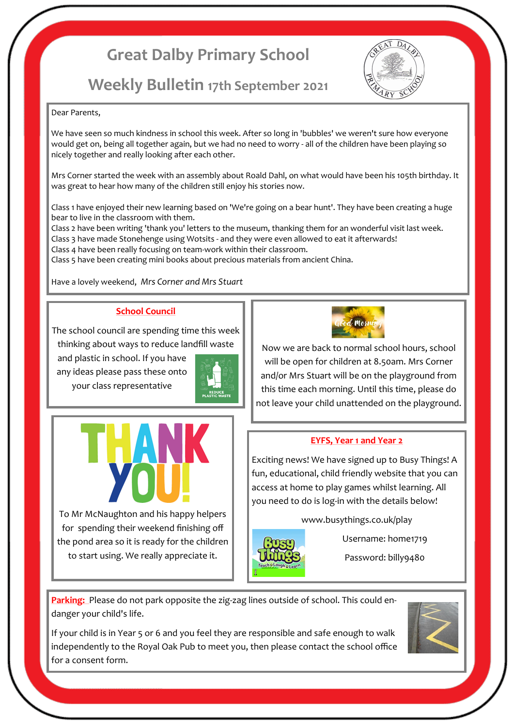# **Great Dalby Primary School**

# **Weekly Bulletin 17th September 2021**



#### Dear Parents,

We have seen so much kindness in school this week. After so long in 'bubbles' we weren't sure how everyone would get on, being all together again, but we had no need to worry - all of the children have been playing so nicely together and really looking after each other.

Mrs Corner started the week with an assembly about Roald Dahl, on what would have been his 105th birthday. It was great to hear how many of the children still enjoy his stories now.

Class 1 have enjoyed their new learning based on 'We're going on a bear hunt'. They have been creating a huge bear to live in the classroom with them.

Class 2 have been writing 'thank you' letters to the museum, thanking them for an wonderful visit last week. Class 3 have made Stonehenge using Wotsits - and they were even allowed to eat it afterwards!

Class 4 have been really focusing on team-work within their classroom.

Class 5 have been creating mini books about precious materials from ancient China.

Have a lovely weekend, *Mrs Corner and Mrs Stuart*

## **School Council**

The school council are spending time this week thinking about ways to reduce landfill waste

To Mr McNaughton and his happy helpers for spending their weekend finishing off the pond area so it is ready for the children to start using. We really appreciate it.

ANK

and plastic in school. If you have any ideas please pass these onto your class representative





Now we are back to normal school hours, school will be open for children at 8.50am. Mrs Corner and/or Mrs Stuart will be on the playground from this time each morning. Until this time, please do not leave your child unattended on the playground.

#### **EYFS, Year 1 and Year 2**

Exciting news! We have signed up to Busy Things! A fun, educational, child friendly website that you can access at home to play games whilst learning. All you need to do is log-in with the details below!

www.busythings.co.uk/play



Username: home1719

Password: billy9480

**Parking:** Please do not park opposite the zig-zag lines outside of school. This could endanger your child's life.

If your child is in Year 5 or 6 and you feel they are responsible and safe enough to walk independently to the Royal Oak Pub to meet you, then please contact the school office for a consent form.